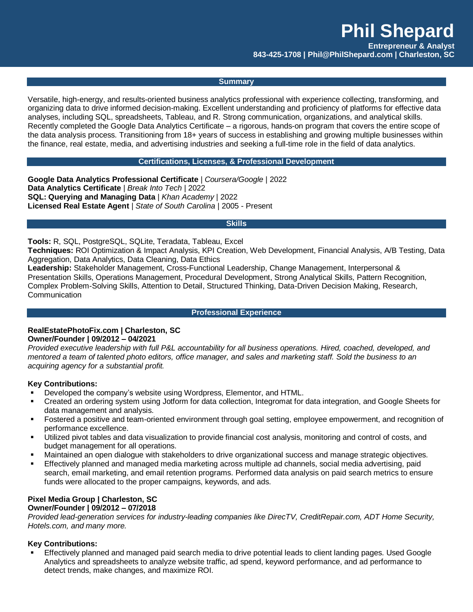**Entrepreneur & Analyst**

**843-425-1708 | Phil@PhilShepard.com | Charleston, SC**

### **Summary**

Versatile, high-energy, and results-oriented business analytics professional with experience collecting, transforming, and organizing data to drive informed decision-making. Excellent understanding and proficiency of platforms for effective data analyses, including SQL, spreadsheets, Tableau, and R. Strong communication, organizations, and analytical skills. Recently completed the Google Data Analytics Certificate – a rigorous, hands-on program that covers the entire scope of the data analysis process. Transitioning from 18+ years of success in establishing and growing multiple businesses within the finance, real estate, media, and advertising industries and seeking a full-time role in the field of data analytics.

#### **Certifications, Licenses, & Professional Development**

**Google Data Analytics Professional Certificate** | *Coursera/Google* | 2022 **Data Analytics Certificate** | *Break Into Tech* | 2022 **SQL: Querying and Managing Data** | *Khan Academy* | 2022 **Licensed Real Estate Agent** | *State of South Carolina* | 2005 - Present

#### **Skills**

**Tools:** R, SQL, PostgreSQL, SQLite, Teradata, Tableau, Excel

**Techniques:** ROI Optimization & Impact Analysis, KPI Creation, Web Development, Financial Analysis, A/B Testing, Data Aggregation, Data Analytics, Data Cleaning, Data Ethics

**Leadership:** Stakeholder Management, Cross-Functional Leadership, Change Management, Interpersonal & Presentation Skills, Operations Management, Procedural Development, Strong Analytical Skills, Pattern Recognition, Complex Problem-Solving Skills, Attention to Detail, Structured Thinking, Data-Driven Decision Making, Research, Communication

#### **Professional Experience**

## **RealEstatePhotoFix.com | Charleston, SC Owner/Founder | 09/2012 – 04/2021**

*Provided executive leadership with full P&L accountability for all business operations. Hired, coached, developed, and mentored a team of talented photo editors, office manager, and sales and marketing staff. Sold the business to an acquiring agency for a substantial profit.* 

## **Key Contributions:**

- Developed the company's website using Wordpress, Elementor, and HTML.
- Created an ordering system using Jotform for data collection, Integromat for data integration, and Google Sheets for data management and analysis.
- Fostered a positive and team-oriented environment through goal setting, employee empowerment, and recognition of performance excellence.
- Utilized pivot tables and data visualization to provide financial cost analysis, monitoring and control of costs, and budget management for all operations.
- Maintained an open dialogue with stakeholders to drive organizational success and manage strategic objectives.
- Effectively planned and managed media marketing across multiple ad channels, social media advertising, paid search, email marketing, and email retention programs. Performed data analysis on paid search metrics to ensure funds were allocated to the proper campaigns, keywords, and ads.

#### **Pixel Media Group | Charleston, SC Owner/Founder | 09/2012 – 07/2018**

*Provided lead-generation services for industry-leading companies like DirecTV, CreditRepair.com, ADT Home Security, Hotels.com, and many more.*

### **Key Contributions:**

 Effectively planned and managed paid search media to drive potential leads to client landing pages. Used Google Analytics and spreadsheets to analyze website traffic, ad spend, keyword performance, and ad performance to detect trends, make changes, and maximize ROI.